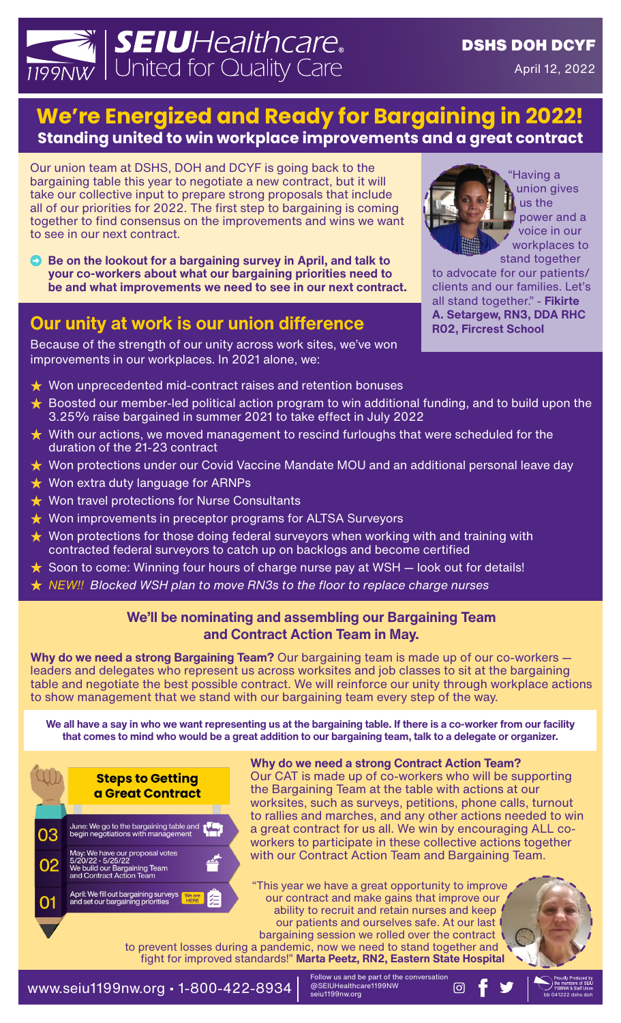# **SEIUHealthcare.**<br>y United for Quality Care

## **We're Energized and Ready for Bargaining in 2022! Standing united to win workplace improvements and a great contract**

Our union team at DSHS, DOH and DCYF is going back to the bargaining table this year to negotiate a new contract, but it will take our collective input to prepare strong proposals that include all of our priorities for 2022. The first step to bargaining is coming together to find consensus on the improvements and wins we want to see in our next contract.

**Example 3 Be on the lookout for a bargaining survey in April, and talk to your co-workers about what our bargaining priorities need to be and what improvements we need to see in our next contract.**

## **Our unity at work is our union difference**

Because of the strength of our unity across work sites, we've won improvements in our workplaces. In 2021 alone, we:



"Having a union gives us the power and a voice in our workplaces to

stand together to advocate for our patients/ clients and our families. Let's all stand together." - **Fikirte A. Setargew, RN3, DDA RHC R02, Fircrest School**

- $\star$  Won unprecedented mid-contract raises and retention bonuses
- $\star$  Boosted our member-led political action program to win additional funding, and to build upon the 3.25% raise bargained in summer 2021 to take effect in July 2022
- **★** With our actions, we moved management to rescind furloughs that were scheduled for the duration of the 21-23 contract
- **★** Won protections under our Covid Vaccine Mandate MOU and an additional personal leave day
- $\star$  Won extra duty language for ARNPs
- $\star$  Won travel protections for Nurse Consultants
- $\star$  Won improvements in preceptor programs for ALTSA Surveyors
- $\star$  Won protections for those doing federal surveyors when working with and training with contracted federal surveyors to catch up on backlogs and become certified
- $\star$  Soon to come: Winning four hours of charge nurse pay at WSH  $-$  look out for details!
- ⭐ *NEW!! Blocked WSH plan to move RN3s to the floor to replace charge nurses*

#### **We'll be nominating and assembling our Bargaining Team and Contract Action Team in May.**

**Why do we need a strong Bargaining Team?** Our bargaining team is made up of our co-workers leaders and delegates who represent us across worksites and job classes to sit at the bargaining table and negotiate the best possible contract. We will reinforce our unity through workplace actions to show management that we stand with our bargaining team every step of the way.

**We all have a say in who we want representing us at the bargaining table. If there is a co-worker from our facility that comes to mind who would be a great addition to our bargaining team, talk to a delegate or organizer.**



#### **Why do we need a strong Contract Action Team?**

Our CAT is made up of co-workers who will be supporting the Bargaining Team at the table with actions at our worksites, such as surveys, petitions, phone calls, turnout to rallies and marches, and any other actions needed to win a great contract for us all. We win by encouraging ALL coworkers to participate in these collective actions together with our Contract Action Team and Bargaining Team.

"This year we have a great opportunity to improve our contract and make gains that improve our ability to recruit and retain nurses and keep our patients and ourselves safe. At our last bargaining session we rolled over the contract

to prevent losses during a pandemic, now we need to stand together and fight for improved standards!" **Marta Peetz, RN2, Eastern State Hospital**